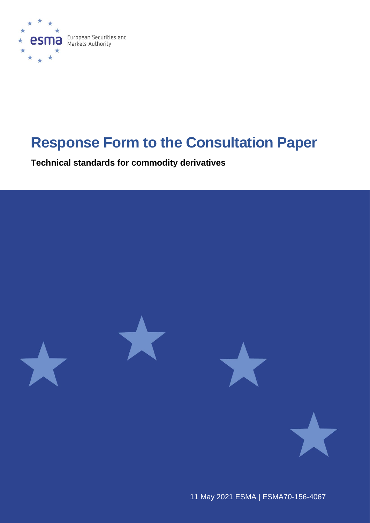

# **Response Form to the Consultation Paper**

**Technical standards for commodity derivatives** 



11 May 2021 ESMA | [ESMA70-](https://sherpa.esma.europa.eu/sites/MKT/SMK/_layouts/15/DocIdRedir.aspx?ID=ESMA70-156-1484)156-4067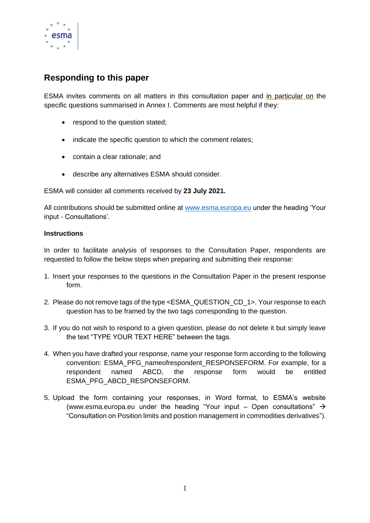

## **Responding to this paper**

ESMA invites comments on all matters in this consultation paper and in particular on the specific questions summarised in Annex I. Comments are most helpful if they:

- respond to the question stated;
- indicate the specific question to which the comment relates;
- contain a clear rationale; and
- describe any alternatives ESMA should consider.

ESMA will consider all comments received by **23 July 2021.**

All contributions should be submitted online at [www.esma.europa.eu](http://www.esma.europa.eu/) under the heading 'Your input - Consultations'.

## **Instructions**

In order to facilitate analysis of responses to the Consultation Paper, respondents are requested to follow the below steps when preparing and submitting their response:

- 1. Insert your responses to the questions in the Consultation Paper in the present response form.
- 2. Please do not remove tags of the type <ESMA\_QUESTION\_CD\_1>. Your response to each question has to be framed by the two tags corresponding to the question.
- 3. If you do not wish to respond to a given question, please do not delete it but simply leave the text "TYPE YOUR TEXT HERE" between the tags.
- 4. When you have drafted your response, name your response form according to the following convention: ESMA\_PFG\_nameofrespondent\_RESPONSEFORM. For example, for a respondent named ABCD, the response form would be entitled ESMA\_PFG\_ABCD\_RESPONSEFORM.
- 5. Upload the form containing your responses, in Word format, to ESMA's website [\(www.esma.europa.eu](http://www.esma.europa.eu/) under the heading "Your input – Open consultations"  $\rightarrow$ "Consultation on Position limits and position management in commodities derivatives").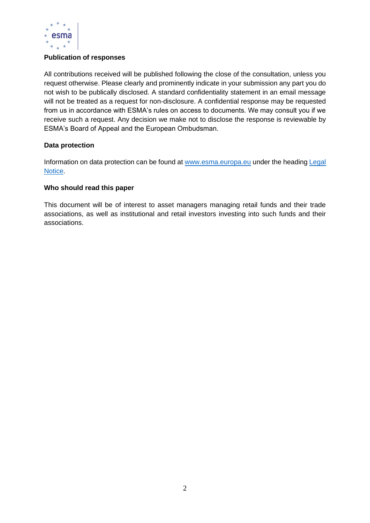

## **Publication of responses**

All contributions received will be published following the close of the consultation, unless you request otherwise. Please clearly and prominently indicate in your submission any part you do not wish to be publically disclosed. A standard confidentiality statement in an email message will not be treated as a request for non-disclosure. A confidential response may be requested from us in accordance with ESMA's rules on access to documents. We may consult you if we receive such a request. Any decision we make not to disclose the response is reviewable by ESMA's Board of Appeal and the European Ombudsman.

## **Data protection**

Information on data protection can be found at [www.esma.europa.eu](http://www.esma.europa.eu/) under the headin[g Legal](http://www.esma.europa.eu/legal-notice)  [Notice.](http://www.esma.europa.eu/legal-notice)

## **Who should read this paper**

This document will be of interest to asset managers managing retail funds and their trade associations, as well as institutional and retail investors investing into such funds and their associations.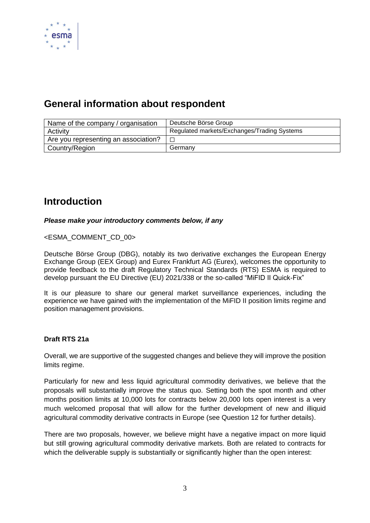

# **General information about respondent**

| Name of the company / organisation   | Deutsche Börse Group                        |
|--------------------------------------|---------------------------------------------|
| Activity                             | Regulated markets/Exchanges/Trading Systems |
| Are you representing an association? |                                             |
| Country/Region                       | Germany                                     |

# **Introduction**

## *Please make your introductory comments below, if any*

<ESMA\_COMMENT\_CD\_00>

Deutsche Börse Group (DBG), notably its two derivative exchanges the European Energy Exchange Group (EEX Group) and Eurex Frankfurt AG (Eurex), welcomes the opportunity to provide feedback to the draft Regulatory Technical Standards (RTS) ESMA is required to develop pursuant the EU Directive (EU) 2021/338 or the so-called "MiFID II Quick-Fix"

It is our pleasure to share our general market surveillance experiences, including the experience we have gained with the implementation of the MiFID II position limits regime and position management provisions.

## **Draft RTS 21a**

Overall, we are supportive of the suggested changes and believe they will improve the position limits regime.

Particularly for new and less liquid agricultural commodity derivatives, we believe that the proposals will substantially improve the status quo. Setting both the spot month and other months position limits at 10,000 lots for contracts below 20,000 lots open interest is a very much welcomed proposal that will allow for the further development of new and illiquid agricultural commodity derivative contracts in Europe (see Question 12 for further details).

There are two proposals, however, we believe might have a negative impact on more liquid but still growing agricultural commodity derivative markets. Both are related to contracts for which the deliverable supply is substantially or significantly higher than the open interest: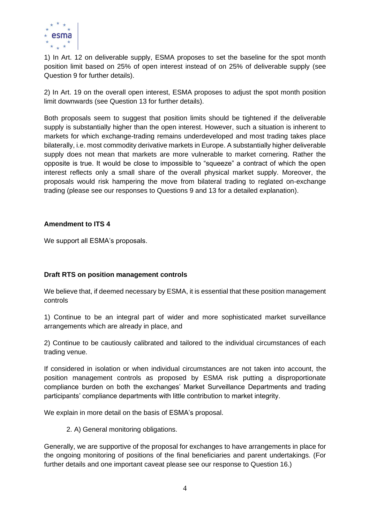

1) In Art. 12 on deliverable supply, ESMA proposes to set the baseline for the spot month position limit based on 25% of open interest instead of on 25% of deliverable supply (see Question 9 for further details).

2) In Art. 19 on the overall open interest, ESMA proposes to adjust the spot month position limit downwards (see Question 13 for further details).

Both proposals seem to suggest that position limits should be tightened if the deliverable supply is substantially higher than the open interest. However, such a situation is inherent to markets for which exchange-trading remains underdeveloped and most trading takes place bilaterally, i.e. most commodity derivative markets in Europe. A substantially higher deliverable supply does not mean that markets are more vulnerable to market cornering. Rather the opposite is true. It would be close to impossible to "squeeze" a contract of which the open interest reflects only a small share of the overall physical market supply. Moreover, the proposals would risk hampering the move from bilateral trading to reglated on-exchange trading (please see our responses to Questions 9 and 13 for a detailed explanation).

## **Amendment to ITS 4**

We support all ESMA's proposals.

## **Draft RTS on position management controls**

We believe that, if deemed necessary by ESMA, it is essential that these position management controls

1) Continue to be an integral part of wider and more sophisticated market surveillance arrangements which are already in place, and

2) Continue to be cautiously calibrated and tailored to the individual circumstances of each trading venue.

If considered in isolation or when individual circumstances are not taken into account, the position management controls as proposed by ESMA risk putting a disproportionate compliance burden on both the exchanges' Market Surveillance Departments and trading participants' compliance departments with little contribution to market integrity.

We explain in more detail on the basis of ESMA's proposal.

2. A) General monitoring obligations.

Generally, we are supportive of the proposal for exchanges to have arrangements in place for the ongoing monitoring of positions of the final beneficiaries and parent undertakings. (For further details and one important caveat please see our response to Question 16.)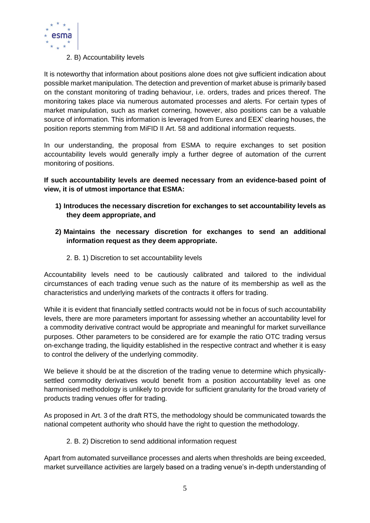

## 2. B) Accountability levels

It is noteworthy that information about positions alone does not give sufficient indication about possible market manipulation. The detection and prevention of market abuse is primarily based on the constant monitoring of trading behaviour, i.e. orders, trades and prices thereof. The monitoring takes place via numerous automated processes and alerts. For certain types of market manipulation, such as market cornering, however, also positions can be a valuable source of information. This information is leveraged from Eurex and EEX' clearing houses, the position reports stemming from MiFID II Art. 58 and additional information requests.

In our understanding, the proposal from ESMA to require exchanges to set position accountability levels would generally imply a further degree of automation of the current monitoring of positions.

**If such accountability levels are deemed necessary from an evidence-based point of view, it is of utmost importance that ESMA:**

- **1) Introduces the necessary discretion for exchanges to set accountability levels as they deem appropriate, and**
- **2) Maintains the necessary discretion for exchanges to send an additional information request as they deem appropriate.**
	- 2. B. 1) Discretion to set accountability levels

Accountability levels need to be cautiously calibrated and tailored to the individual circumstances of each trading venue such as the nature of its membership as well as the characteristics and underlying markets of the contracts it offers for trading.

While it is evident that financially settled contracts would not be in focus of such accountability levels, there are more parameters important for assessing whether an accountability level for a commodity derivative contract would be appropriate and meaningful for market surveillance purposes. Other parameters to be considered are for example the ratio OTC trading versus on-exchange trading, the liquidity established in the respective contract and whether it is easy to control the delivery of the underlying commodity.

We believe it should be at the discretion of the trading venue to determine which physicallysettled commodity derivatives would benefit from a position accountability level as one harmonised methodology is unlikely to provide for sufficient granularity for the broad variety of products trading venues offer for trading.

As proposed in Art. 3 of the draft RTS, the methodology should be communicated towards the national competent authority who should have the right to question the methodology.

## 2. B. 2) Discretion to send additional information request

Apart from automated surveillance processes and alerts when thresholds are being exceeded, market surveillance activities are largely based on a trading venue's in-depth understanding of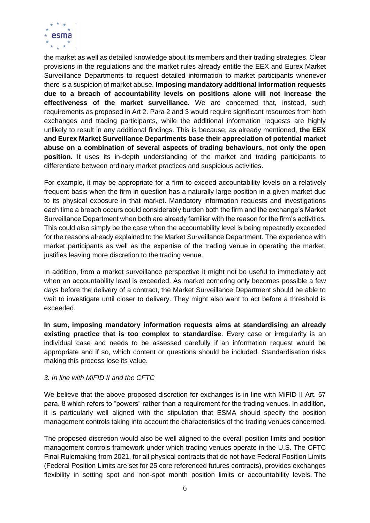

the market as well as detailed knowledge about its members and their trading strategies. Clear provisions in the regulations and the market rules already entitle the EEX and Eurex Market Surveillance Departments to request detailed information to market participants whenever there is a suspicion of market abuse. **Imposing mandatory additional information requests due to a breach of accountability levels on positions alone will not increase the effectiveness of the market surveillance**. We are concerned that, instead, such requirements as proposed in Art 2. Para 2 and 3 would require significant resources from both exchanges and trading participants, while the additional information requests are highly unlikely to result in any additional findings. This is because, as already mentioned, **the EEX and Eurex Market Surveillance Departments base their appreciation of potential market abuse on a combination of several aspects of trading behaviours, not only the open position.** It uses its in-depth understanding of the market and trading participants to differentiate between ordinary market practices and suspicious activities.

For example, it may be appropriate for a firm to exceed accountability levels on a relatively frequent basis when the firm in question has a naturally large position in a given market due to its physical exposure in that market. Mandatory information requests and investigations each time a breach occurs could considerably burden both the firm and the exchange's Market Surveillance Department when both are already familiar with the reason for the firm's activities. This could also simply be the case when the accountability level is being repeatedly exceeded for the reasons already explained to the Market Surveillance Department. The experience with market participants as well as the expertise of the trading venue in operating the market, justifies leaving more discretion to the trading venue.

In addition, from a market surveillance perspective it might not be useful to immediately act when an accountability level is exceeded. As market cornering only becomes possible a few days before the delivery of a contract, the Market Surveillance Department should be able to wait to investigate until closer to delivery. They might also want to act before a threshold is exceeded.

**In sum, imposing mandatory information requests aims at standardising an already existing practice that is too complex to standardise**. Every case or irregularity is an individual case and needs to be assessed carefully if an information request would be appropriate and if so, which content or questions should be included. Standardisation risks making this process lose its value.

## *3. In line with MiFID II and the CFTC*

We believe that the above proposed discretion for exchanges is in line with MiFID II Art. 57 para. 8 which refers to "powers" rather than a requirement for the trading venues. In addition, it is particularly well aligned with the stipulation that ESMA should specify the position management controls taking into account the characteristics of the trading venues concerned.

The proposed discretion would also be well aligned to the overall position limits and position management controls framework under which trading venues operate in the U.S. The CFTC Final Rulemaking from 2021, for all physical contracts that do not have Federal Position Limits (Federal Position Limits are set for 25 core referenced futures contracts), provides exchanges flexibility in setting spot and non-spot month position limits or accountability levels. The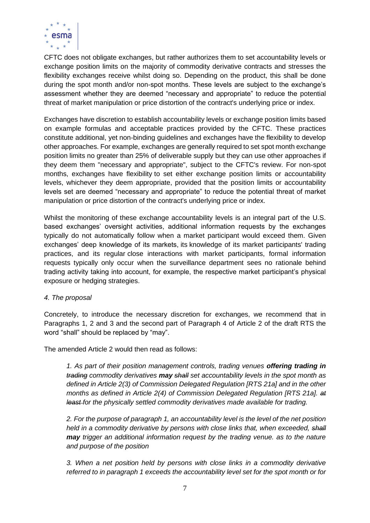

CFTC does not obligate exchanges, but rather authorizes them to set accountability levels or exchange position limits on the majority of commodity derivative contracts and stresses the flexibility exchanges receive whilst doing so. Depending on the product, this shall be done during the spot month and/or non-spot months. These levels are subject to the exchange's assessment whether they are deemed "necessary and appropriate" to reduce the potential threat of market manipulation or price distortion of the contract's underlying price or index.

Exchanges have discretion to establish accountability levels or exchange position limits based on example formulas and acceptable practices provided by the CFTC. These practices constitute additional, yet non-binding guidelines and exchanges have the flexibility to develop other approaches. For example, exchanges are generally required to set spot month exchange position limits no greater than 25% of deliverable supply but they can use other approaches if they deem them "necessary and appropriate", subject to the CFTC's review. For non-spot months, exchanges have flexibility to set either exchange position limits or accountability levels, whichever they deem appropriate, provided that the position limits or accountability levels set are deemed "necessary and appropriate" to reduce the potential threat of market manipulation or price distortion of the contract's underlying price or index.

Whilst the monitoring of these exchange accountability levels is an integral part of the U.S. based exchanges' oversight activities, additional information requests by the exchanges typically do not automatically follow when a market participant would exceed them. Given exchanges' deep knowledge of its markets, its knowledge of its market participants' trading practices, and its regular close interactions with market participants, formal information requests typically only occur when the surveillance department sees no rationale behind trading activity taking into account, for example, the respective market participant's physical exposure or hedging strategies.

## *4. The proposal*

Concretely, to introduce the necessary discretion for exchanges, we recommend that in Paragraphs 1, 2 and 3 and the second part of Paragraph 4 of Article 2 of the draft RTS the word "shall" should be replaced by "may".

The amended Article 2 would then read as follows:

*1. As part of their position management controls, trading venues offering trading in trading commodity derivatives may shall set accountability levels in the spot month as defined in Article 2(3) of Commission Delegated Regulation [RTS 21a] and in the other months as defined in Article 2(4) of Commission Delegated Regulation [RTS 21a]. at least for the physically settled commodity derivatives made available for trading.* 

*2. For the purpose of paragraph 1, an accountability level is the level of the net position held in a commodity derivative by persons with close links that, when exceeded, shall may trigger an additional information request by the trading venue. as to the nature and purpose of the position* 

*3. When a net position held by persons with close links in a commodity derivative referred to in paragraph 1 exceeds the accountability level set for the spot month or for*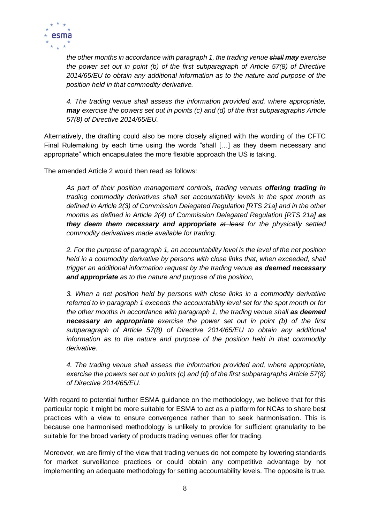

*the other months in accordance with paragraph 1, the trading venue shall may exercise the power set out in point (b) of the first subparagraph of Article 57(8) of Directive 2014/65/EU to obtain any additional information as to the nature and purpose of the position held in that commodity derivative.* 

*4. The trading venue shall assess the information provided and, where appropriate, may exercise the powers set out in points (c) and (d) of the first subparagraphs Article 57(8) of Directive 2014/65/EU.*

Alternatively, the drafting could also be more closely aligned with the wording of the CFTC Final Rulemaking by each time using the words "shall […] as they deem necessary and appropriate" which encapsulates the more flexible approach the US is taking.

The amended Article 2 would then read as follows:

*As part of their position management controls, trading venues offering trading in trading commodity derivatives shall set accountability levels in the spot month as defined in Article 2(3) of Commission Delegated Regulation [RTS 21a] and in the other months as defined in Article 2(4) of Commission Delegated Regulation [RTS 21a] as they deem them necessary and appropriate at least for the physically settled commodity derivatives made available for trading.* 

*2. For the purpose of paragraph 1, an accountability level is the level of the net position held in a commodity derivative by persons with close links that, when exceeded, shall trigger an additional information request by the trading venue as deemed necessary and appropriate as to the nature and purpose of the position,*

*3. When a net position held by persons with close links in a commodity derivative referred to in paragraph 1 exceeds the accountability level set for the spot month or for the other months in accordance with paragraph 1, the trading venue shall as deemed necessary an appropriate exercise the power set out in point (b) of the first subparagraph of Article 57(8) of Directive 2014/65/EU to obtain any additional information as to the nature and purpose of the position held in that commodity derivative.*

*4. The trading venue shall assess the information provided and, where appropriate, exercise the powers set out in points (c) and (d) of the first subparagraphs Article 57(8) of Directive 2014/65/EU.*

With regard to potential further ESMA guidance on the methodology, we believe that for this particular topic it might be more suitable for ESMA to act as a platform for NCAs to share best practices with a view to ensure convergence rather than to seek harmonisation. This is because one harmonised methodology is unlikely to provide for sufficient granularity to be suitable for the broad variety of products trading venues offer for trading.

Moreover, we are firmly of the view that trading venues do not compete by lowering standards for market surveillance practices or could obtain any competitive advantage by not implementing an adequate methodology for setting accountability levels. The opposite is true.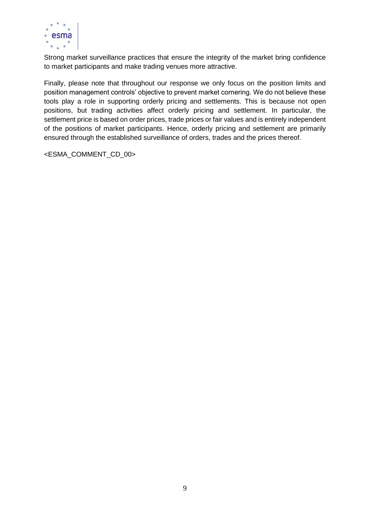

Strong market surveillance practices that ensure the integrity of the market bring confidence to market participants and make trading venues more attractive.

Finally, please note that throughout our response we only focus on the position limits and position management controls' objective to prevent market cornering. We do not believe these tools play a role in supporting orderly pricing and settlements. This is because not open positions, but trading activities affect orderly pricing and settlement. In particular, the settlement price is based on order prices, trade prices or fair values and is entirely independent of the positions of market participants. Hence, orderly pricing and settlement are primarily ensured through the established surveillance of orders, trades and the prices thereof.

<ESMA\_COMMENT\_CD\_00>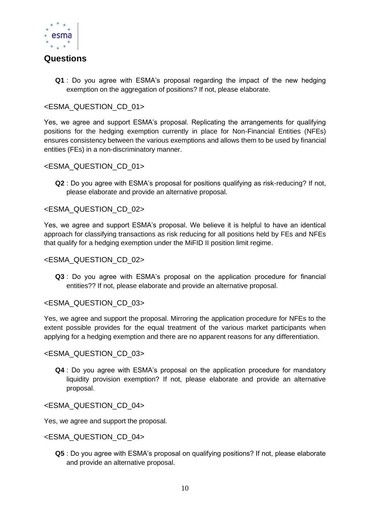

## **Questions**

**Q1** : Do you agree with ESMA's proposal regarding the impact of the new hedging exemption on the aggregation of positions? If not, please elaborate.

## <ESMA\_QUESTION\_CD\_01>

Yes, we agree and support ESMA's proposal. Replicating the arrangements for qualifying positions for the hedging exemption currently in place for Non-Financial Entities (NFEs) ensures consistency between the various exemptions and allows them to be used by financial entities (FEs) in a non-discriminatory manner.

## <ESMA\_QUESTION\_CD\_01>

**Q2** : Do you agree with ESMA's proposal for positions qualifying as risk-reducing? If not, please elaborate and provide an alternative proposal.

## <ESMA\_QUESTION\_CD\_02>

Yes, we agree and support ESMA's proposal. We believe it is helpful to have an identical approach for classifying transactions as risk reducing for all positions held by FEs and NFEs that qualify for a hedging exemption under the MiFID II position limit regime.

## <ESMA\_QUESTION\_CD\_02>

**Q3** : Do you agree with ESMA's proposal on the application procedure for financial entities?? If not, please elaborate and provide an alternative proposal.

## <ESMA\_QUESTION\_CD\_03>

Yes, we agree and support the proposal. Mirroring the application procedure for NFEs to the extent possible provides for the equal treatment of the various market participants when applying for a hedging exemption and there are no apparent reasons for any differentiation.

## <ESMA\_QUESTION\_CD\_03>

**Q4** : Do you agree with ESMA's proposal on the application procedure for mandatory liquidity provision exemption? If not, please elaborate and provide an alternative proposal.

## <ESMA\_QUESTION\_CD\_04>

Yes, we agree and support the proposal.

## <ESMA\_QUESTION\_CD\_04>

**Q5** : Do you agree with ESMA's proposal on qualifying positions? If not, please elaborate and provide an alternative proposal.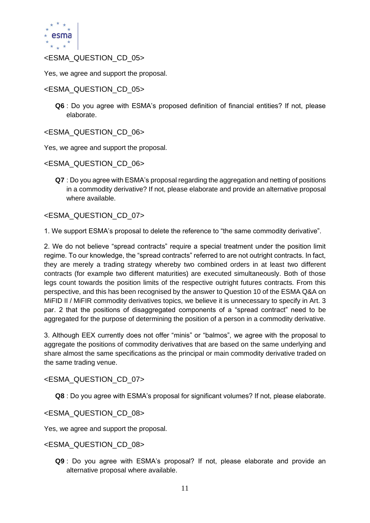

## <ESMA\_QUESTION\_CD\_05>

Yes, we agree and support the proposal.

## <ESMA\_QUESTION\_CD\_05>

**Q6** : Do you agree with ESMA's proposed definition of financial entities? If not, please elaborate.

<ESMA\_QUESTION\_CD\_06>

Yes, we agree and support the proposal.

<ESMA\_QUESTION\_CD\_06>

**Q7** : Do you agree with ESMA's proposal regarding the aggregation and netting of positions in a commodity derivative? If not, please elaborate and provide an alternative proposal where available.

## <ESMA\_QUESTION\_CD\_07>

1. We support ESMA's proposal to delete the reference to "the same commodity derivative".

2. We do not believe "spread contracts" require a special treatment under the position limit regime. To our knowledge, the "spread contracts" referred to are not outright contracts. In fact, they are merely a trading strategy whereby two combined orders in at least two different contracts (for example two different maturities) are executed simultaneously. Both of those legs count towards the position limits of the respective outright futures contracts. From this perspective, and this has been recognised by the answer to Question 10 of the ESMA Q&A on MIFID II / MIFIR commodity derivatives topics, we believe it is unnecessary to specify in Art. 3 par. 2 that the positions of disaggregated components of a "spread contract" need to be aggregated for the purpose of determining the position of a person in a commodity derivative.

3. Although EEX currently does not offer "minis" or "balmos", we agree with the proposal to aggregate the positions of commodity derivatives that are based on the same underlying and share almost the same specifications as the principal or main commodity derivative traded on the same trading venue.

## <ESMA\_QUESTION\_CD\_07>

**Q8** : Do you agree with ESMA's proposal for significant volumes? If not, please elaborate.

<ESMA\_QUESTION\_CD\_08>

Yes, we agree and support the proposal.

## <ESMA\_QUESTION\_CD\_08>

**Q9** : Do you agree with ESMA's proposal? If not, please elaborate and provide an alternative proposal where available.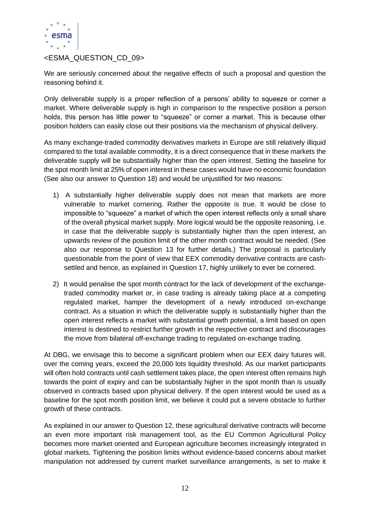

## <ESMA\_QUESTION\_CD\_09>

We are seriously concerned about the negative effects of such a proposal and question the reasoning behind it.

Only deliverable supply is a proper reflection of a persons' ability to squeeze or corner a market. Where deliverable supply is high in comparison to the respective position a person holds, this person has little power to "squeeze" or corner a market. This is because other position holders can easily close out their positions via the mechanism of physical delivery.

As many exchange-traded commodity derivatives markets in Europe are still relatively illiquid compared to the total available commodity, it is a direct consequence that in these markets the deliverable supply will be substantially higher than the open interest. Setting the baseline for the spot month limit at 25% of open interest in these cases would have no economic foundation (See also our answer to Question 18) and would be unjustified for two reasons:

- 1) A substantially higher deliverable supply does not mean that markets are more vulnerable to market cornering. Rather the opposite is true. It would be close to impossible to "squeeze" a market of which the open interest reflects only a small share of the overall physical market supply. More logical would be the opposite reasoning, i.e. in case that the deliverable supply is substantially higher than the open interest, an upwards review of the position limit of the other month contract would be needed. (See also our response to Question 13 for further details.) The proposal is particularly questionable from the point of view that EEX commodity derivative contracts are cashsettled and hence, as explained in Question 17, highly unlikely to ever be cornered.
- 2) It would penalise the spot month contract for the lack of development of the exchangetraded commodity market or, in case trading is already taking place at a competing regulated market, hamper the development of a newly introduced on-exchange contract. As a situation in which the deliverable supply is substantially higher than the open interest reflects a market with substantial growth potential, a limit based on open interest is destined to restrict further growth in the respective contract and discourages the move from bilateral off-exchange trading to regulated on-exchange trading.

At DBG, we envisage this to become a significant problem when our EEX dairy futures will, over the coming years, exceed the 20,000 lots liquidity threshold. As our market participants will often hold contracts until cash settlement takes place, the open interest often remains high towards the point of expiry and can be substantially higher in the spot month than is usually observed in contracts based upon physical delivery. If the open interest would be used as a baseline for the spot month position limit, we believe it could put a severe obstacle to further growth of these contracts.

As explained in our answer to Question 12, these agricultural derivative contracts will become an even more important risk management tool, as the EU Common Agricultural Policy becomes more market oriented and European agriculture becomes increasingly integrated in global markets. Tightening the position limits without evidence-based concerns about market manipulation not addressed by current market surveillance arrangements, is set to make it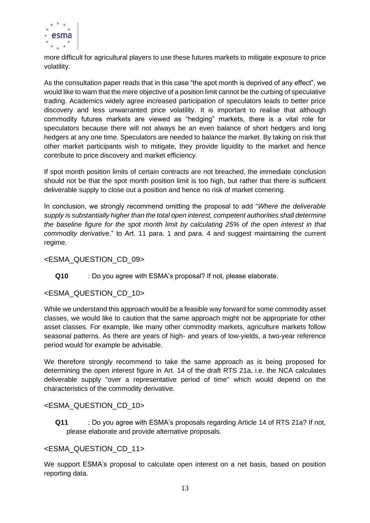

more difficult for agricultural players to use these futures markets to mitigate exposure to price volatility.

As the consultation paper reads that in this case "the spot month is deprived of any effect", we would like to warn that the mere objective of a position limit cannot be the curbing of speculative trading. Academics widely agree increased participation of speculators leads to better price discovery and less unwarranted price volatility. It is important to realise that although commodity futures markets are viewed as "hedging" markets, there is a vital role for speculators because there will not always be an even balance of short hedgers and long hedgers at any one time. Speculators are needed to balance the market. By taking on risk that other market participants wish to mitigate, they provide liquidity to the market and hence contribute to price discovery and market efficiency.

If spot month position limits of certain contracts are not breached, the immediate conclusion should not be that the spot month position limit is too high, but rather that there is sufficient deliverable supply to close out a position and hence no risk of market cornering.

In conclusion, we strongly recommend omitting the proposal to add "*Where the deliverable supply is substantially higher than the total open interest, competent authorities shall determine the baseline figure for the spot month limit by calculating 25% of the open interest in that commodity derivative*." to Art. 11 para. 1 and para. 4 and suggest maintaining the current regime.

## <ESMA\_QUESTION\_CD\_09>

**Q10** : Do you agree with ESMA's proposal? If not, please elaborate.

## <ESMA\_QUESTION\_CD\_10>

While we understand this approach would be a feasible way forward for some commodity asset classes, we would like to caution that the same approach might not be appropriate for other asset classes. For example, like many other commodity markets, agriculture markets follow seasonal patterns. As there are years of high- and years of low-yields, a two-year reference period would for example be advisable.

We therefore strongly recommend to take the same approach as is being proposed for determining the open interest figure in Art. 14 of the draft RTS 21a, i.e. the NCA calculates deliverable supply "over a representative period of time" which would depend on the characteristics of the commodity derivative.

## <ESMA\_QUESTION\_CD\_10>

**Q11** : Do you agree with ESMA's proposals regarding Article 14 of RTS 21a? If not, please elaborate and provide alternative proposals.

## <ESMA\_QUESTION\_CD\_11>

We support ESMA's proposal to calculate open interest on a net basis, based on position reporting data.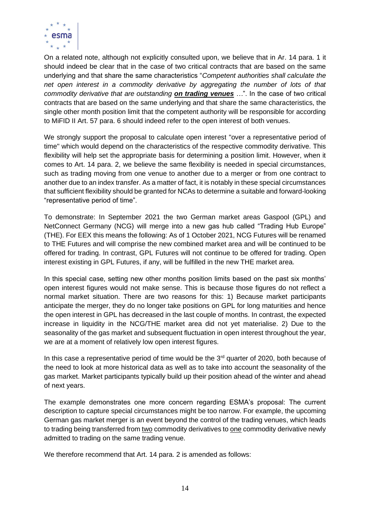

On a related note, although not explicitly consulted upon, we believe that in Ar. 14 para. 1 it should indeed be clear that in the case of two critical contracts that are based on the same underlying and that share the same characteristics "*Competent authorities shall calculate the net open interest in a commodity derivative by aggregating the number of lots of that commodity derivative that are outstanding on trading venues …*". In the case of two critical contracts that are based on the same underlying and that share the same characteristics, the single other month position limit that the competent authority will be responsible for according to MiFID II Art. 57 para. 6 should indeed refer to the open interest of both venues.

We strongly support the proposal to calculate open interest "over a representative period of time" which would depend on the characteristics of the respective commodity derivative. This flexibility will help set the appropriate basis for determining a position limit. However, when it comes to Art. 14 para. 2, we believe the same flexibility is needed in special circumstances, such as trading moving from one venue to another due to a merger or from one contract to another due to an index transfer. As a matter of fact, it is notably in these special circumstances that sufficient flexibility should be granted for NCAs to determine a suitable and forward-looking "representative period of time".

To demonstrate: In September 2021 the two German market areas Gaspool (GPL) and NetConnect Germany (NCG) will merge into a new gas hub called "Trading Hub Europe" (THE). For EEX this means the following: As of 1 October 2021, NCG Futures will be renamed to THE Futures and will comprise the new combined market area and will be continued to be offered for trading. In contrast, GPL Futures will not continue to be offered for trading. Open interest existing in GPL Futures, if any, will be fulfilled in the new THE market area.

In this special case, setting new other months position limits based on the past six months' open interest figures would not make sense. This is because those figures do not reflect a normal market situation. There are two reasons for this: 1) Because market participants anticipate the merger, they do no longer take positions on GPL for long maturities and hence the open interest in GPL has decreased in the last couple of months. In contrast, the expected increase in liquidity in the NCG/THE market area did not yet materialise. 2) Due to the seasonality of the gas market and subsequent fluctuation in open interest throughout the year, we are at a moment of relatively low open interest figures.

In this case a representative period of time would be the  $3<sup>rd</sup>$  quarter of 2020, both because of the need to look at more historical data as well as to take into account the seasonality of the gas market. Market participants typically build up their position ahead of the winter and ahead of next years.

The example demonstrates one more concern regarding ESMA's proposal: The current description to capture special circumstances might be too narrow. For example, the upcoming German gas market merger is an event beyond the control of the trading venues, which leads to trading being transferred from two commodity derivatives to one commodity derivative newly admitted to trading on the same trading venue.

We therefore recommend that Art. 14 para. 2 is amended as follows: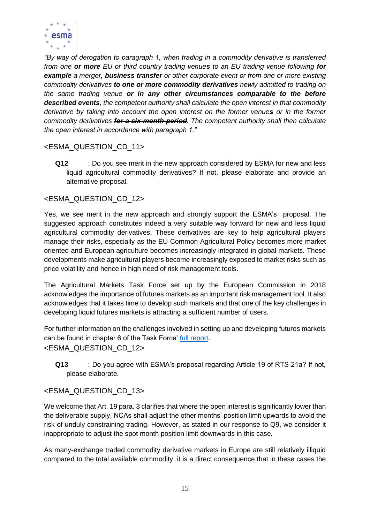

*"By way of derogation to paragraph 1, when trading in a commodity derivative is transferred from one or more EU or third country trading venues to an EU trading venue following for example a merger, business transfer or other corporate event or from one or more existing commodity derivatives to one or more commodity derivatives newly admitted to trading on the same trading venue or in any other circumstances comparable to the before described events, the competent authority shall calculate the open interest in that commodity derivative by taking into account the open interest on the former venues or in the former commodity derivatives for a six-month period. The competent authority shall then calculate the open interest in accordance with paragraph 1."*

## <ESMA\_QUESTION\_CD\_11>

**Q12** : Do you see merit in the new approach considered by ESMA for new and less liquid agricultural commodity derivatives? If not, please elaborate and provide an alternative proposal.

## <ESMA\_QUESTION\_CD\_12>

Yes, we see merit in the new approach and strongly support the ESMA's proposal. The suggested approach constitutes indeed a very suitable way forward for new and less liquid agricultural commodity derivatives. These derivatives are key to help agricultural players manage their risks, especially as the EU Common Agricultural Policy becomes more market oriented and European agriculture becomes increasingly integrated in global markets. These developments make agricultural players become increasingly exposed to market risks such as price volatility and hence in high need of risk management tools.

The Agricultural Markets Task Force set up by the European Commission in 2018 acknowledges the importance of futures markets as an important risk management tool. It also acknowledges that it takes time to develop such markets and that one of the key challenges in developing liquid futures markets is attracting a sufficient number of users.

For further information on the challenges involved in setting up and developing futures markets can be found in chapter 6 of the Task Force' [full report](https://ec.europa.eu/info/sites/default/files/food-farming-fisheries/farming/documents/amtf-report-improving-markets-outcomes_en.pdf). <ESMA\_QUESTION\_CD\_12>

**Q13** : Do you agree with ESMA's proposal regarding Article 19 of RTS 21a? If not, please elaborate.

## <ESMA\_QUESTION\_CD\_13>

We welcome that Art. 19 para. 3 clarifies that where the open interest is significantly lower than the deliverable supply, NCAs shall adjust the other months' position limit upwards to avoid the risk of unduly constraining trading. However, as stated in our response to Q9, we consider it inappropriate to adjust the spot month position limit downwards in this case.

As many-exchange traded commodity derivative markets in Europe are still relatively illiquid compared to the total available commodity, it is a direct consequence that in these cases the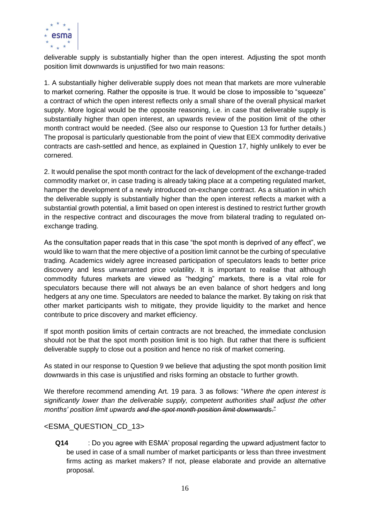

deliverable supply is substantially higher than the open interest. Adjusting the spot month position limit downwards is unjustified for two main reasons:

1. A substantially higher deliverable supply does not mean that markets are more vulnerable to market cornering. Rather the opposite is true. It would be close to impossible to "squeeze" a contract of which the open interest reflects only a small share of the overall physical market supply. More logical would be the opposite reasoning, i.e. in case that deliverable supply is substantially higher than open interest, an upwards review of the position limit of the other month contract would be needed. (See also our response to Question 13 for further details.) The proposal is particularly questionable from the point of view that EEX commodity derivative contracts are cash-settled and hence, as explained in Question 17, highly unlikely to ever be cornered.

2. It would penalise the spot month contract for the lack of development of the exchange-traded commodity market or, in case trading is already taking place at a competing regulated market, hamper the development of a newly introduced on-exchange contract. As a situation in which the deliverable supply is substantially higher than the open interest reflects a market with a substantial growth potential, a limit based on open interest is destined to restrict further growth in the respective contract and discourages the move from bilateral trading to regulated onexchange trading.

As the consultation paper reads that in this case "the spot month is deprived of any effect", we would like to warn that the mere objective of a position limit cannot be the curbing of speculative trading. Academics widely agree increased participation of speculators leads to better price discovery and less unwarranted price volatility. It is important to realise that although commodity futures markets are viewed as "hedging" markets, there is a vital role for speculators because there will not always be an even balance of short hedgers and long hedgers at any one time. Speculators are needed to balance the market. By taking on risk that other market participants wish to mitigate, they provide liquidity to the market and hence contribute to price discovery and market efficiency.

If spot month position limits of certain contracts are not breached, the immediate conclusion should not be that the spot month position limit is too high. But rather that there is sufficient deliverable supply to close out a position and hence no risk of market cornering.

As stated in our response to Question 9 we believe that adjusting the spot month position limit downwards in this case is unjustified and risks forming an obstacle to further growth.

We therefore recommend amending Art. 19 para. 3 as follows: "*Where the open interest is significantly lower than the deliverable supply, competent authorities shall adjust the other months' position limit upwards and the spot month position limit downwards*."

## <ESMA\_QUESTION\_CD\_13>

**Q14** : Do you agree with ESMA' proposal regarding the upward adjustment factor to be used in case of a small number of market participants or less than three investment firms acting as market makers? If not, please elaborate and provide an alternative proposal.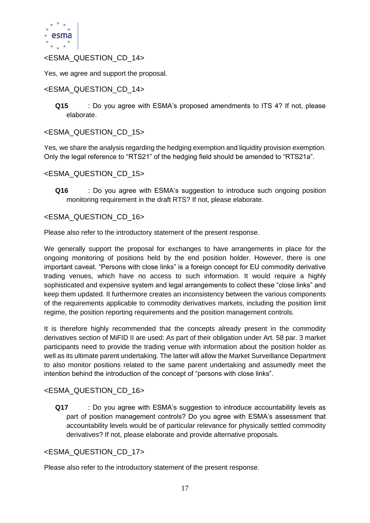

## <ESMA\_QUESTION\_CD\_14>

Yes, we agree and support the proposal.

## <ESMA\_QUESTION\_CD\_14>

**Q15** : Do you agree with ESMA's proposed amendments to ITS 4? If not, please elaborate.

## <ESMA\_QUESTION\_CD\_15>

Yes, we share the analysis regarding the hedging exemption and liquidity provision exemption. Only the legal reference to "RTS21" of the hedging field should be amended to "RTS21a".

## <ESMA\_QUESTION\_CD\_15>

**Q16** : Do you agree with ESMA's suggestion to introduce such ongoing position monitoring requirement in the draft RTS? If not, please elaborate.

## <ESMA\_QUESTION\_CD\_16>

Please also refer to the introductory statement of the present response.

We generally support the proposal for exchanges to have arrangements in place for the ongoing monitoring of positions held by the end position holder. However, there is one important caveat. "Persons with close links" is a foreign concept for EU commodity derivative trading venues, which have no access to such information. It would require a highly sophisticated and expensive system and legal arrangements to collect these "close links" and keep them updated. It furthermore creates an inconsistency between the various components of the requirements applicable to commodity derivatives markets, including the position limit regime, the position reporting requirements and the position management controls.

It is therefore highly recommended that the concepts already present in the commodity derivatives section of MiFID II are used: As part of their obligation under Art. 58 par. 3 market participants need to provide the trading venue with information about the position holder as well as its ultimate parent undertaking. The latter will allow the Market Surveillance Department to also monitor positions related to the same parent undertaking and assumedly meet the intention behind the introduction of the concept of "persons with close links".

## <ESMA\_QUESTION\_CD\_16>

**Q17** : Do you agree with ESMA's suggestion to introduce accountability levels as part of position management controls? Do you agree with ESMA's assessment that accountability levels would be of particular relevance for physically settled commodity derivatives? If not, please elaborate and provide alternative proposals.

## <ESMA\_QUESTION\_CD\_17>

Please also refer to the introductory statement of the present response.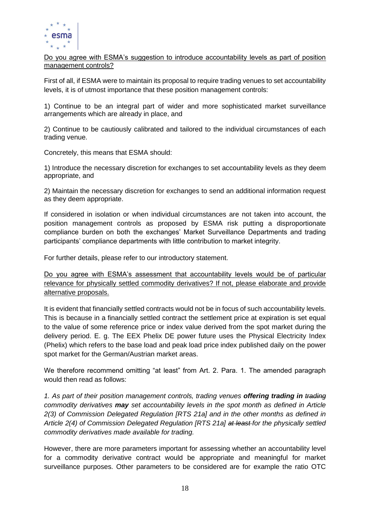

Do you agree with ESMA's suggestion to introduce accountability levels as part of position management controls?

First of all, if ESMA were to maintain its proposal to require trading venues to set accountability levels, it is of utmost importance that these position management controls:

1) Continue to be an integral part of wider and more sophisticated market surveillance arrangements which are already in place, and

2) Continue to be cautiously calibrated and tailored to the individual circumstances of each trading venue.

Concretely, this means that ESMA should:

1) Introduce the necessary discretion for exchanges to set accountability levels as they deem appropriate, and

2) Maintain the necessary discretion for exchanges to send an additional information request as they deem appropriate.

If considered in isolation or when individual circumstances are not taken into account, the position management controls as proposed by ESMA risk putting a disproportionate compliance burden on both the exchanges' Market Surveillance Departments and trading participants' compliance departments with little contribution to market integrity.

For further details, please refer to our introductory statement.

Do you agree with ESMA's assessment that accountability levels would be of particular relevance for physically settled commodity derivatives? If not, please elaborate and provide alternative proposals.

It is evident that financially settled contracts would not be in focus of such accountability levels. This is because in a financially settled contract the settlement price at expiration is set equal to the value of some reference price or index value derived from the spot market during the delivery period. E. g. The EEX Phelix DE power future uses the Physical Electricity Index (Phelix) which refers to the base load and peak load price index published daily on the power spot market for the German/Austrian market areas.

We therefore recommend omitting "at least" from Art. 2. Para. 1. The amended paragraph would then read as follows:

*1. As part of their position management controls, trading venues offering trading in trading commodity derivatives may set accountability levels in the spot month as defined in Article 2(3) of Commission Delegated Regulation [RTS 21a] and in the other months as defined in Article 2(4) of Commission Delegated Regulation [RTS 21a] at least for the physically settled commodity derivatives made available for trading.* 

However, there are more parameters important for assessing whether an accountability level for a commodity derivative contract would be appropriate and meaningful for market surveillance purposes. Other parameters to be considered are for example the ratio OTC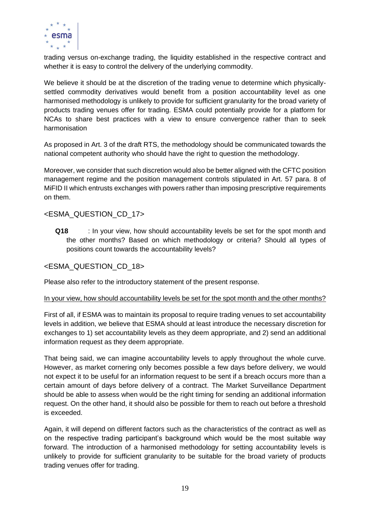

trading versus on-exchange trading, the liquidity established in the respective contract and whether it is easy to control the delivery of the underlying commodity.

We believe it should be at the discretion of the trading venue to determine which physicallysettled commodity derivatives would benefit from a position accountability level as one harmonised methodology is unlikely to provide for sufficient granularity for the broad variety of products trading venues offer for trading. ESMA could potentially provide for a platform for NCAs to share best practices with a view to ensure convergence rather than to seek harmonisation

As proposed in Art. 3 of the draft RTS, the methodology should be communicated towards the national competent authority who should have the right to question the methodology.

Moreover, we consider that such discretion would also be better aligned with the CFTC position management regime and the position management controls stipulated in Art. 57 para. 8 of MiFID II which entrusts exchanges with powers rather than imposing prescriptive requirements on them.

## <ESMA\_QUESTION\_CD\_17>

**Q18** : In your view, how should accountability levels be set for the spot month and the other months? Based on which methodology or criteria? Should all types of positions count towards the accountability levels?

## <ESMA\_QUESTION\_CD\_18>

Please also refer to the introductory statement of the present response.

#### In your view, how should accountability levels be set for the spot month and the other months?

First of all, if ESMA was to maintain its proposal to require trading venues to set accountability levels in addition, we believe that ESMA should at least introduce the necessary discretion for exchanges to 1) set accountability levels as they deem appropriate, and 2) send an additional information request as they deem appropriate.

That being said, we can imagine accountability levels to apply throughout the whole curve. However, as market cornering only becomes possible a few days before delivery, we would not expect it to be useful for an information request to be sent if a breach occurs more than a certain amount of days before delivery of a contract. The Market Surveillance Department should be able to assess when would be the right timing for sending an additional information request. On the other hand, it should also be possible for them to reach out before a threshold is exceeded.

Again, it will depend on different factors such as the characteristics of the contract as well as on the respective trading participant's background which would be the most suitable way forward. The introduction of a harmonised methodology for setting accountability levels is unlikely to provide for sufficient granularity to be suitable for the broad variety of products trading venues offer for trading.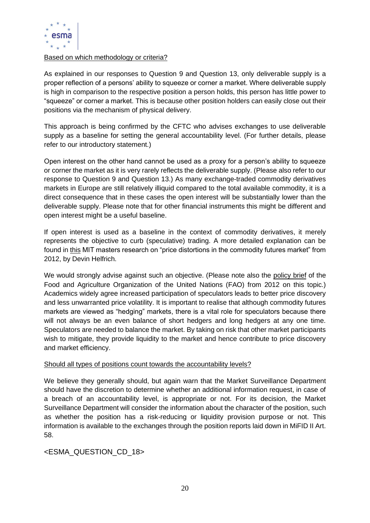

## Based on which methodology or criteria?

As explained in our responses to Question 9 and Question 13, only deliverable supply is a proper reflection of a persons' ability to squeeze or corner a market. Where deliverable supply is high in comparison to the respective position a person holds, this person has little power to "squeeze" or corner a market. This is because other position holders can easily close out their positions via the mechanism of physical delivery.

This approach is being confirmed by the CFTC who advises exchanges to use deliverable supply as a baseline for setting the general accountability level. (For further details, please refer to our introductory statement.)

Open interest on the other hand cannot be used as a proxy for a person's ability to squeeze or corner the market as it is very rarely reflects the deliverable supply. (Please also refer to our response to Question 9 and Question 13.) As many exchange-traded commodity derivatives markets in Europe are still relatively illiquid compared to the total available commodity, it is a direct consequence that in these cases the open interest will be substantially lower than the deliverable supply. Please note that for other financial instruments this might be different and open interest might be a useful baseline.

If open interest is used as a baseline in the context of commodity derivatives, it merely represents the objective to curb (speculative) trading. A more detailed explanation can be found in [this](https://dspace.mit.edu/handle/1721.1/78485) MIT masters research on "price distortions in the commodity futures market" from 2012, by Devin Helfrich.

We would strongly advise against such an objective. (Please note also the [policy brief](http://www.fao.org/3/al296e/al296e00.pdf) of the Food and Agriculture Organization of the United Nations (FAO) from 2012 on this topic.) Academics widely agree increased participation of speculators leads to better price discovery and less unwarranted price volatility. It is important to realise that although commodity futures markets are viewed as "hedging" markets, there is a vital role for speculators because there will not always be an even balance of short hedgers and long hedgers at any one time. Speculators are needed to balance the market. By taking on risk that other market participants wish to mitigate, they provide liquidity to the market and hence contribute to price discovery and market efficiency.

## Should all types of positions count towards the accountability levels?

We believe they generally should, but again warn that the Market Surveillance Department should have the discretion to determine whether an additional information request, in case of a breach of an accountability level, is appropriate or not. For its decision, the Market Surveillance Department will consider the information about the character of the position, such as whether the position has a risk-reducing or liquidity provision purpose or not. This information is available to the exchanges through the position reports laid down in MiFID II Art. 58.

## <ESMA\_QUESTION\_CD\_18>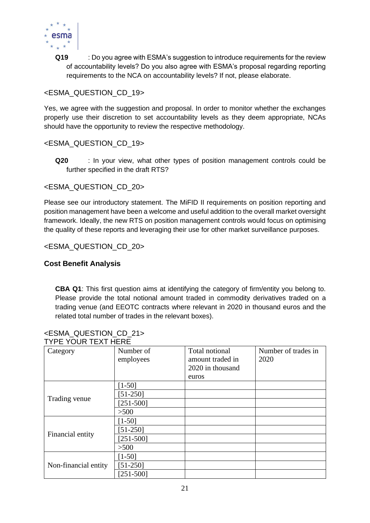

**Q19** : Do you agree with ESMA's suggestion to introduce requirements for the review of accountability levels? Do you also agree with ESMA's proposal regarding reporting requirements to the NCA on accountability levels? If not, please elaborate.

## <ESMA\_QUESTION\_CD\_19>

Yes, we agree with the suggestion and proposal. In order to monitor whether the exchanges properly use their discretion to set accountability levels as they deem appropriate, NCAs should have the opportunity to review the respective methodology.

## <ESMA\_QUESTION\_CD\_19>

**Q20** : In your view, what other types of position management controls could be further specified in the draft RTS?

## <ESMA\_QUESTION\_CD\_20>

Please see our introductory statement. The MiFID II requirements on position reporting and position management have been a welcome and useful addition to the overall market oversight framework. Ideally, the new RTS on position management controls would focus on optimising the quality of these reports and leveraging their use for other market surveillance purposes.

## <ESMA\_QUESTION\_CD\_20>

## **Cost Benefit Analysis**

**CBA Q1**: This first question aims at identifying the category of firm/entity you belong to. Please provide the total notional amount traded in commodity derivatives traded on a trading venue (and EEOTC contracts where relevant in 2020 in thousand euros and the related total number of trades in the relevant boxes).

| <u>TIFE TUUN TEAT HENE</u> |               |                  |                     |
|----------------------------|---------------|------------------|---------------------|
| Category                   | Number of     | Total notional   | Number of trades in |
|                            | employees     | amount traded in | 2020                |
|                            |               | 2020 in thousand |                     |
|                            |               | euros            |                     |
| Trading venue              | $[1-50]$      |                  |                     |
|                            | $[51-250]$    |                  |                     |
|                            | $[251 - 500]$ |                  |                     |
|                            | >500          |                  |                     |
| Financial entity           | $[1-50]$      |                  |                     |
|                            | $[51-250]$    |                  |                     |
|                            | $[251 - 500]$ |                  |                     |
|                            | >500          |                  |                     |
| Non-financial entity       | $[1-50]$      |                  |                     |
|                            | $[51-250]$    |                  |                     |
|                            | $[251 - 500]$ |                  |                     |

#### <ESMA\_QUESTION\_CD\_21> TVDE VOLID TEYT HEDE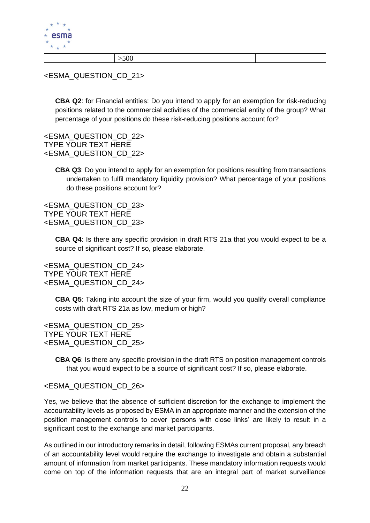

|--|--|

<ESMA\_QUESTION\_CD\_21>

**CBA Q2**: for Financial entities: Do you intend to apply for an exemption for risk-reducing positions related to the commercial activities of the commercial entity of the group? What percentage of your positions do these risk-reducing positions account for?

<ESMA\_QUESTION\_CD\_22> TYPE YOUR TEXT HERE <ESMA\_QUESTION\_CD\_22>

> **CBA Q3**: Do you intend to apply for an exemption for positions resulting from transactions undertaken to fulfil mandatory liquidity provision? What percentage of your positions do these positions account for?

<ESMA\_QUESTION\_CD\_23> TYPE YOUR TEXT HERE <ESMA\_QUESTION\_CD\_23>

> **CBA Q4**: Is there any specific provision in draft RTS 21a that you would expect to be a source of significant cost? If so, please elaborate.

<ESMA\_QUESTION\_CD\_24> TYPE YOUR TEXT HERE <ESMA\_QUESTION\_CD\_24>

> **CBA Q5**: Taking into account the size of your firm, would you qualify overall compliance costs with draft RTS 21a as low, medium or high?

<ESMA\_QUESTION\_CD\_25> TYPE YOUR TEXT HERE <ESMA\_QUESTION\_CD\_25>

> **CBA Q6**: Is there any specific provision in the draft RTS on position management controls that you would expect to be a source of significant cost? If so, please elaborate.

## <ESMA\_QUESTION\_CD\_26>

Yes, we believe that the absence of sufficient discretion for the exchange to implement the accountability levels as proposed by ESMA in an appropriate manner and the extension of the position management controls to cover 'persons with close links' are likely to result in a significant cost to the exchange and market participants.

As outlined in our introductory remarks in detail, following ESMAs current proposal, any breach of an accountability level would require the exchange to investigate and obtain a substantial amount of information from market participants. These mandatory information requests would come on top of the information requests that are an integral part of market surveillance